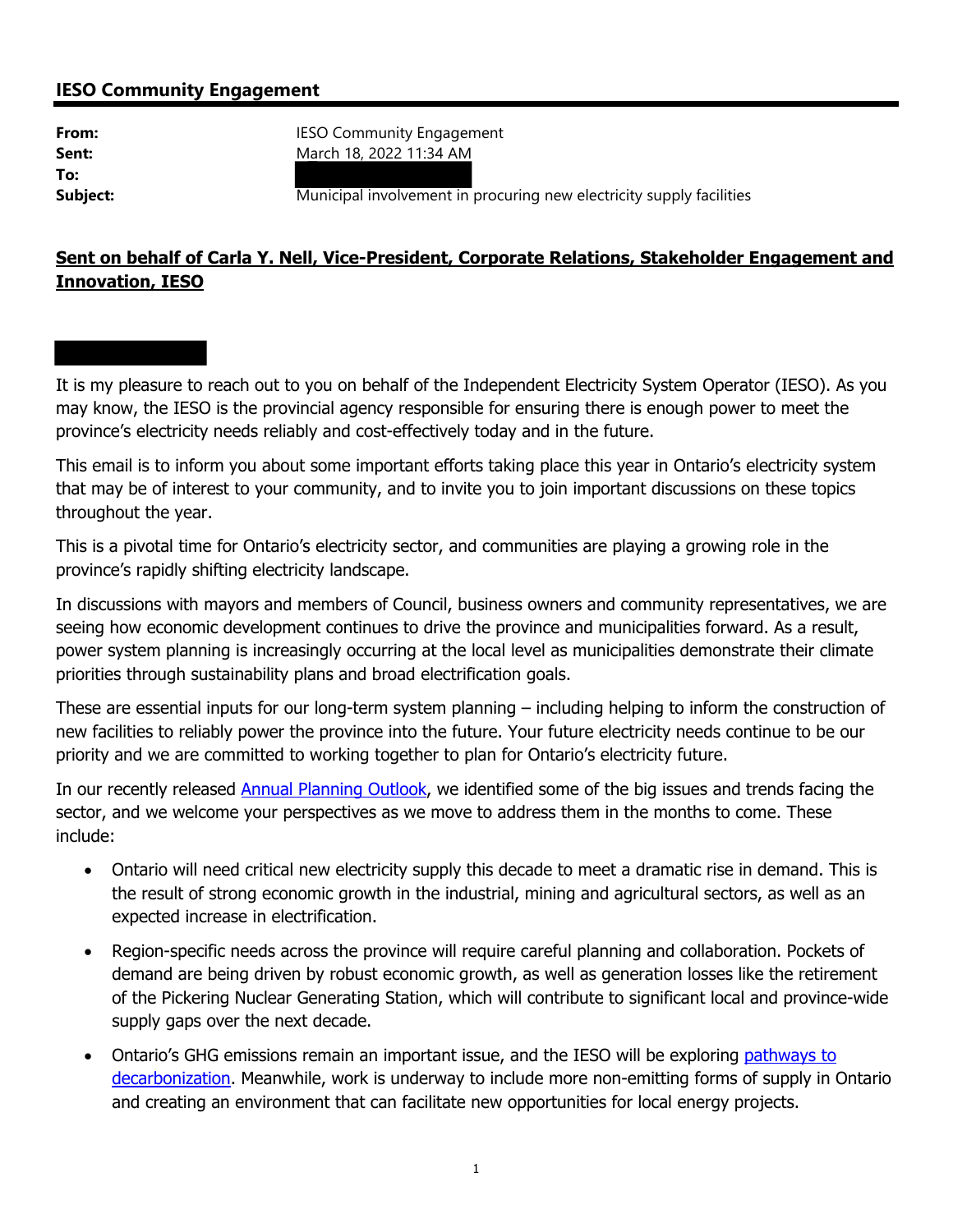## **IESO Community Engagement**

**To:** 

**From: IESO Community Engagement Sent:** March 18, 2022 11:34 AM

**Subject: Municipal involvement in procuring new electricity supply facilities** 

## **Sent on behalf of Carla Y. Nell, Vice-President, Corporate Relations, Stakeholder Engagement and Innovation, IESO**

It is my pleasure to reach out to you on behalf of the Independent Electricity System Operator (IESO). As you may know, the IESO is the provincial agency responsible for ensuring there is enough power to meet the province's electricity needs reliably and cost-effectively today and in the future.

This email is to inform you about some important efforts taking place this year in Ontario's electricity system that may be of interest to your community, and to invite you to join important discussions on these topics throughout the year.

This is a pivotal time for Ontario's electricity sector, and communities are playing a growing role in the province's rapidly shifting electricity landscape.

In discussions with mayors and members of Council, business owners and community representatives, we are seeing how economic development continues to drive the province and municipalities forward. As a result, power system planning is increasingly occurring at the local level as municipalities demonstrate their climate priorities through sustainability plans and broad electrification goals.

These are essential inputs for our long-term system planning – including helping to inform the construction of new facilities to reliably power the province into the future. Your future electricity needs continue to be our priority and we are committed to working together to plan for Ontario's electricity future.

In our recently released **Annual Planning Outlook**, we identified some of the big issues and trends facing the sector, and we welcome your perspectives as we move to address them in the months to come. These include:

- Ontario will need critical new electricity supply this decade to meet a dramatic rise in demand. This is the result of strong economic growth in the industrial, mining and agricultural sectors, as well as an expected increase in electrification.
- Region-specific needs across the province will require careful planning and collaboration. Pockets of demand are being driven by robust economic growth, as well as generation losses like the retirement of the Pickering Nuclear Generating Station, which will contribute to significant local and province-wide supply gaps over the next decade.
- Ontario's GHG emissions remain an important issue, and the IESO will be explorin[g pathways to](https://www.ieso.ca/en/Sector-Participants/Engagement-Initiatives/Engagements/Pathways-to-Decarbonization)  [decarbonization.](https://www.ieso.ca/en/Sector-Participants/Engagement-Initiatives/Engagements/Pathways-to-Decarbonization) Meanwhile, work is underway to include more non-emitting forms of supply in Ontario and creating an environment that can facilitate new opportunities for local energy projects.